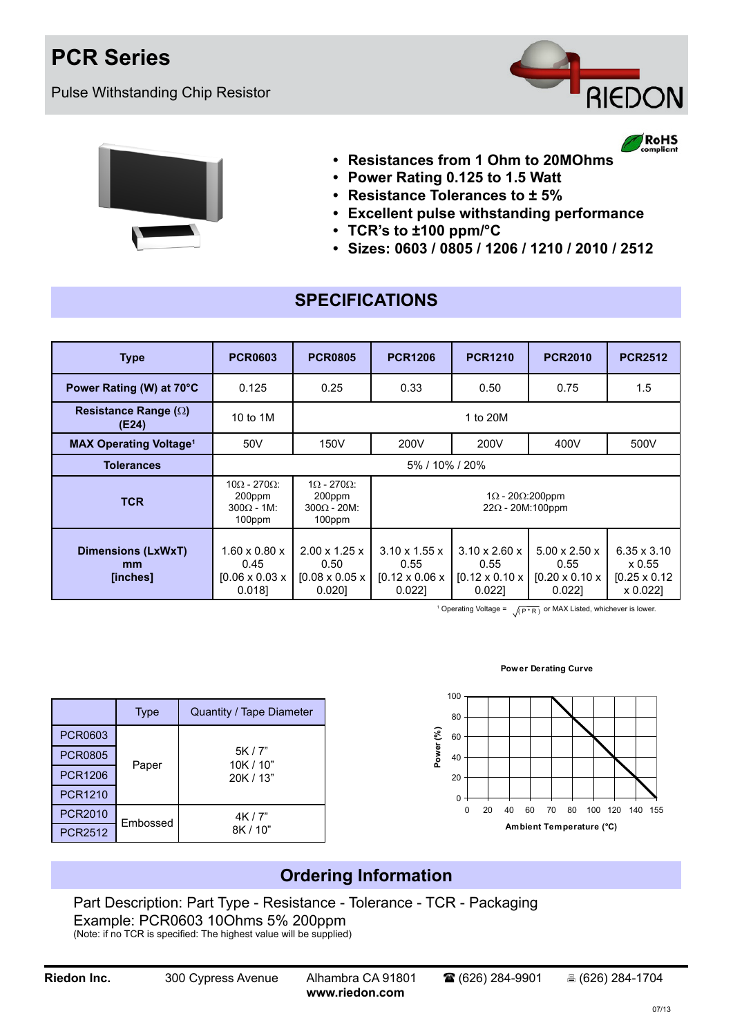## **PCR Series**

Pulse Withstanding Chip Resistor



RoHS



- **• Resistances from 1 Ohm to 20MOhms**
- **• Power Rating 0.125 to 1.5 Watt**
- **• Resistance Tolerances to ± 5%**
- **• Excellent pulse withstanding performance**
- **• TCR's to ±100 ppm/°C**
- **• Sizes: 0603 / 0805 / 1206 / 1210 / 2010 / 2512**

### **SPECIFICATIONS**

| <b>Type</b>                              | <b>PCR0603</b>                                                           | <b>PCR0805</b>                                                                                                                 | <b>PCR1206</b>                                                               | <b>PCR1210</b>                                                            | <b>PCR2010</b>                                                             | <b>PCR2512</b>                                                   |
|------------------------------------------|--------------------------------------------------------------------------|--------------------------------------------------------------------------------------------------------------------------------|------------------------------------------------------------------------------|---------------------------------------------------------------------------|----------------------------------------------------------------------------|------------------------------------------------------------------|
| Power Rating (W) at 70°C                 | 0.125                                                                    | 0.25                                                                                                                           | 0.33                                                                         | 0.50                                                                      | 0.75                                                                       | 1.5                                                              |
| Resistance Range $(\Omega)$<br>(E24)     | 10 to 1M                                                                 | 1 to 20M                                                                                                                       |                                                                              |                                                                           |                                                                            |                                                                  |
| <b>MAX Operating Voltage<sup>1</sup></b> | 50V                                                                      | 150V                                                                                                                           | 200V                                                                         | 200V                                                                      | 400V                                                                       | 500V                                                             |
| <b>Tolerances</b>                        | 5% / 10% / 20%                                                           |                                                                                                                                |                                                                              |                                                                           |                                                                            |                                                                  |
| <b>TCR</b>                               | $10\Omega - 270\Omega$<br>200ppm<br>$300\Omega - 1$ M:<br>100ppm         | $1\Omega - 270\Omega$<br>200ppm<br>$1\Omega$ - 20 $\Omega$ :200ppm<br>$22\Omega$ - 20M:100ppm<br>$300\Omega - 20M$ :<br>100ppm |                                                                              |                                                                           |                                                                            |                                                                  |
| Dimensions (LxWxT)<br>mm<br>[inches]     | $1.60 \times 0.80 \times$<br>0.45<br>$[0.06 \times 0.03 \times$<br>0.018 | $2.00 \times 1.25 \times$<br>0.50<br>$[0.08 \times 0.05 \times]$<br>0.0201                                                     | $3.10 \times 1.55 \times$<br>0.55<br>$[0.12 \times 0.06 \times$<br>$0.022$ ] | $3.10 \times 2.60 \times$<br>0.55<br>$[0.12 \times 0.10 \times$<br>0.0221 | $5.00 \times 2.50 \times$<br>0.55<br>$[0.20 \times 0.10 \times]$<br>0.0221 | $6.35 \times 3.10$<br>x 0.55<br>$[0.25 \times 0.12]$<br>x 0.022] |

<sup>1</sup> Operating Voltage =  $\sqrt{(P^*R)}$  or MAX Listed, whichever is lower.

|                | <b>Type</b> | Quantity / Tape Diameter |
|----------------|-------------|--------------------------|
| <b>PCR0603</b> |             |                          |
| <b>PCR0805</b> | Paper       | 5K / 7"<br>10K/10"       |
| <b>PCR1206</b> |             | 20K / 13"                |
| <b>PCR1210</b> |             |                          |
| <b>PCR2010</b> | Embossed    | 4K/7"                    |
| <b>PCR2512</b> |             | 8K / 10"                 |

### **Power Derating Curve**



### **Ordering Information**

Part Description: Part Type - Resistance - Tolerance - TCR - Packaging Example: PCR0603 10Ohms 5% 200ppm (Note: if no TCR is specified: The highest value will be supplied)

**[www.riedon.com](http://www.riedon.com)**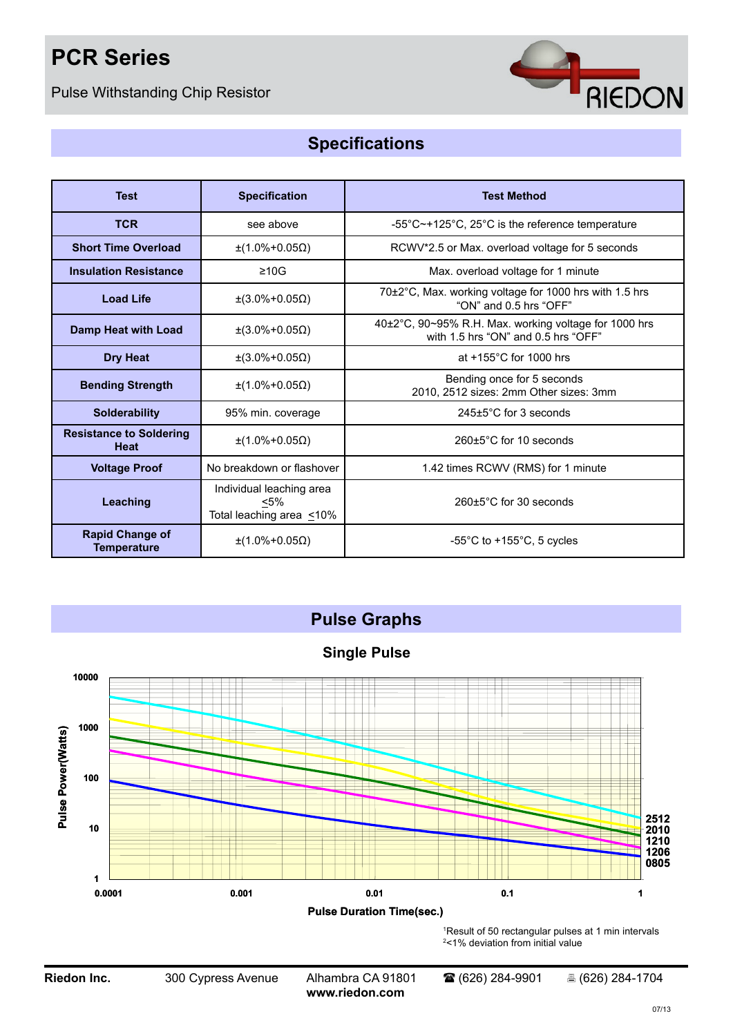# **PCR Series**

Pulse Withstanding Chip Resistor



## **Specifications**

| <b>Test</b>                                  | <b>Specification</b>                                                   | <b>Test Method</b>                                                                           |  |  |
|----------------------------------------------|------------------------------------------------------------------------|----------------------------------------------------------------------------------------------|--|--|
| <b>TCR</b>                                   | see above                                                              | -55°C~+125°C, 25°C is the reference temperature                                              |  |  |
| <b>Short Time Overload</b>                   | $±(1.0\% + 0.05Ω)$                                                     | RCWV*2.5 or Max. overload voltage for 5 seconds                                              |  |  |
| <b>Insulation Resistance</b>                 | $\geq 10$ G                                                            | Max. overload voltage for 1 minute                                                           |  |  |
| <b>Load Life</b>                             | $\pm(3.0\% + 0.05\Omega)$                                              | 70±2°C, Max. working voltage for 1000 hrs with 1.5 hrs<br>"ON" and 0.5 hrs "OFF"             |  |  |
| Damp Heat with Load                          | $\pm(3.0\% + 0.05\Omega)$                                              | 40±2°C, 90~95% R.H. Max. working voltage for 1000 hrs<br>with 1.5 hrs "ON" and 0.5 hrs "OFF" |  |  |
| <b>Dry Heat</b>                              | $±$ (3.0%+0.05Ω)                                                       | at $+155^{\circ}$ C for 1000 hrs                                                             |  |  |
| <b>Bending Strength</b>                      | $\pm$ (1.0%+0.05 $\Omega$ )                                            | Bending once for 5 seconds<br>2010, 2512 sizes: 2mm Other sizes: 3mm                         |  |  |
| <b>Solderability</b>                         | 95% min. coverage                                                      | $245 \pm 5^{\circ}$ C for 3 seconds                                                          |  |  |
| <b>Resistance to Soldering</b><br>Heat       | $\pm$ (1.0%+0.05 $\Omega$ )                                            | $260+5^{\circ}$ C for 10 seconds                                                             |  |  |
| <b>Voltage Proof</b>                         | No breakdown or flashover                                              | 1.42 times RCWV (RMS) for 1 minute                                                           |  |  |
| Leaching                                     | Individual leaching area<br>$< 5\%$<br>Total leaching area $\leq 10\%$ | $260 \pm 5^{\circ}$ C for 30 seconds                                                         |  |  |
| <b>Rapid Change of</b><br><b>Temperature</b> | $\pm$ (1.0%+0.05 $\Omega$ )                                            | $-55^{\circ}$ C to $+155^{\circ}$ C, 5 cycles                                                |  |  |



**Riedon Inc.** 300 Cypress Avenue Alhambra CA 91801 <sup>2</sup> (626) 284-9901 <sup>8</sup> (626) 284-1704

**[www.riedon.com](http://www.riedon.com)**